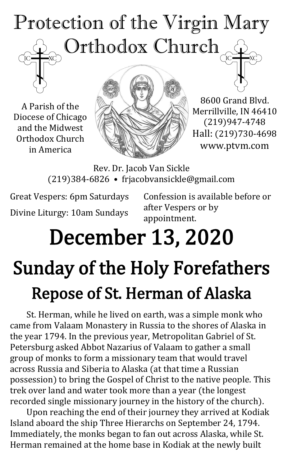# Protection of the Virgin Mary Orthodox Church

A Parish of the Diocese of Chicago and the Midwest Orthodox Church in America



8600 Grand Blvd. Merrillville, IN 46410 (219)947-4748 Hall: (219)730-4698 www.ptvm.com

Rev. Dr. Jacob Van Sickle (219)384-6826 • frjacobvansickle@gmail.com

Great Vespers: 6pm Saturdays Divine Liturgy: 10am Sundays Confession is available before or after Vespers or by appointment.

# December 13, 2020

# Sunday of the Holy Forefathers Repose of St. Herman of Alaska

St. Herman, while he lived on earth, was a simple monk who came from Valaam Monastery in Russia to the shores of Alaska in the year 1794. In the previous year, Metropolitan Gabriel of St. Petersburg asked Abbot Nazarius of Valaam to gather a small group of monks to form a missionary team that would travel across Russia and Siberia to Alaska (at that time a Russian possession) to bring the Gospel of Christ to the native people. This trek over land and water took more than a year (the longest recorded single missionary journey in the history of the church).

Upon reaching the end of their journey they arrived at Kodiak Island aboard the ship Three Hierarchs on September 24, 1794. Immediately, the monks began to fan out across Alaska, while St. Herman remained at the home base in Kodiak at the newly built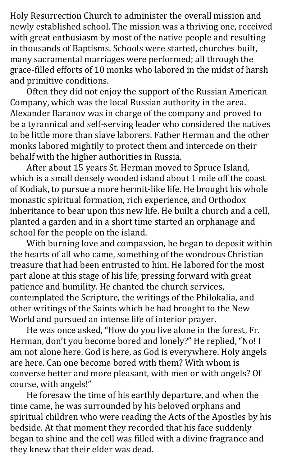Holy Resurrection Church to administer the overall mission and newly established school. The mission was a thriving one, received with great enthusiasm by most of the native people and resulting in thousands of Baptisms. Schools were started, churches built, many sacramental marriages were performed; all through the grace-filled efforts of 10 monks who labored in the midst of harsh and primitive conditions.

Often they did not enjoy the support of the Russian American Company, which was the local Russian authority in the area. Alexander Baranov was in charge of the company and proved to be a tyrannical and self-serving leader who considered the natives to be little more than slave laborers. Father Herman and the other monks labored mightily to protect them and intercede on their behalf with the higher authorities in Russia.

After about 15 years St. Herman moved to Spruce Island, which is a small densely wooded island about 1 mile off the coast of Kodiak, to pursue a more hermit-like life. He brought his whole monastic spiritual formation, rich experience, and Orthodox inheritance to bear upon this new life. He built a church and a cell, planted a garden and in a short time started an orphanage and school for the people on the island.

With burning love and compassion, he began to deposit within the hearts of all who came, something of the wondrous Christian treasure that had been entrusted to him. He labored for the most part alone at this stage of his life, pressing forward with great patience and humility. He chanted the church services, contemplated the Scripture, the writings of the Philokalia, and other writings of the Saints which he had brought to the New World and pursued an intense life of interior prayer.

He was once asked, "How do you live alone in the forest, Fr. Herman, don't you become bored and lonely?" He replied, "No! I am not alone here. God is here, as God is everywhere. Holy angels are here. Can one become bored with them? With whom is converse better and more pleasant, with men or with angels? Of course, with angels!"

He foresaw the time of his earthly departure, and when the time came, he was surrounded by his beloved orphans and spiritual children who were reading the Acts of the Apostles by his bedside. At that moment they recorded that his face suddenly began to shine and the cell was filled with a divine fragrance and they knew that their elder was dead.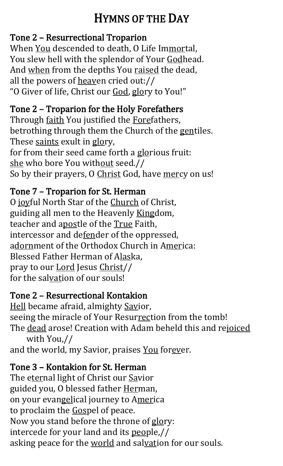# HYMNS OF THE DAY

#### Tone 2 – Resurrectional Troparion

When You descended to death, O Life Immortal, You slew hell with the splendor of Your Godhead. And when from the depths You raised the dead, all the powers of heaven cried out:// "O Giver of life, Christ our God, glory to You!"

#### Tone 2 – Troparion for the Holy Forefathers

Through faith You justified the Forefathers, betrothing through them the Church of the gentiles. These saints exult in glory, for from their seed came forth a glorious fruit: she who bore You without seed.// So by their prayers, O Christ God, have mercy on us!

#### Tone 7 – Troparion for St. Herman

O joyful North Star of the Church of Christ, guiding all men to the Heavenly Kingdom, teacher and apostle of the True Faith, intercessor and defender of the oppressed, adornment of the Orthodox Church in America: Blessed Father Herman of Alaska, pray to our Lord Jesus Christ// for the salvation of our souls!

#### Tone 2 – Resurrectional Kontakion

Hell became afraid, almighty Savior, seeing the miracle of Your Resurrection from the tomb! The dead arose! Creation with Adam beheld this and rejoiced with You,//

and the world, my Savior, praises You forever.

#### Tone 3 – Kontakion for St. Herman

The eternal light of Christ our Savior guided you, O blessed father Herman, on your evangelical journey to America to proclaim the Gospel of peace. Now you stand before the throne of glory: intercede for your land and its people,// asking peace for the world and salvation for our souls.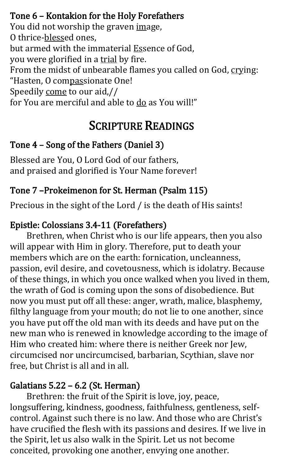#### Tone 6 – Kontakion for the Holy Forefathers

You did not worship the graven image, O thrice-blessed ones, but armed with the immaterial Essence of God, you were glorified in a trial by fire. From the midst of unbearable flames you called on God, crying: "Hasten, O compassionate One! Speedily come to our aid,// for You are merciful and able to  $\underline{do}$  as You will!"

### SCRIPTURE READINGS

#### Tone 4 – Song of the Fathers (Daniel 3)

Blessed are You, O Lord God of our fathers, and praised and glorified is Your Name forever!

#### Tone 7 –Prokeimenon for St. Herman (Psalm 115)

Precious in the sight of the Lord / is the death of His saints!

#### Epistle: Colossians 3.4-11 (Forefathers)

Brethren, when Christ who is our life appears, then you also will appear with Him in glory. Therefore, put to death your members which are on the earth: fornication, uncleanness, passion, evil desire, and covetousness, which is idolatry. Because of these things, in which you once walked when you lived in them, the wrath of God is coming upon the sons of disobedience. But now you must put off all these: anger, wrath, malice, blasphemy, filthy language from your mouth; do not lie to one another, since you have put off the old man with its deeds and have put on the new man who is renewed in knowledge according to the image of Him who created him: where there is neither Greek nor Jew, circumcised nor uncircumcised, barbarian, Scythian, slave nor free, but Christ is all and in all.

#### Galatians 5.22 – 6.2 (St. Herman)

Brethren: the fruit of the Spirit is love, joy, peace, longsuffering, kindness, goodness, faithfulness, gentleness, selfcontrol. Against such there is no law. And those who are Christ's have crucified the flesh with its passions and desires. If we live in the Spirit, let us also walk in the Spirit. Let us not become conceited, provoking one another, envying one another.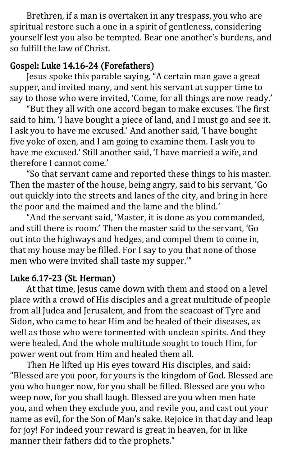Brethren, if a man is overtaken in any trespass, you who are spiritual restore such a one in a spirit of gentleness, considering yourself lest you also be tempted. Bear one another's burdens, and so fulfill the law of Christ.

#### Gospel: Luke 14.16-24 (Forefathers)

Jesus spoke this parable saying, "A certain man gave a great supper, and invited many, and sent his servant at supper time to say to those who were invited, 'Come, for all things are now ready.'

"But they all with one accord began to make excuses. The first said to him, 'I have bought a piece of land, and I must go and see it. I ask you to have me excused.' And another said, 'I have bought five yoke of oxen, and I am going to examine them. I ask you to have me excused.' Still another said, 'I have married a wife, and therefore I cannot come.'

"So that servant came and reported these things to his master. Then the master of the house, being angry, said to his servant, 'Go out quickly into the streets and lanes of the city, and bring in here the poor and the maimed and the lame and the blind.'

"And the servant said, 'Master, it is done as you commanded, and still there is room.' Then the master said to the servant, 'Go out into the highways and hedges, and compel them to come in, that my house may be filled. For I say to you that none of those men who were invited shall taste my supper.'"

#### Luke 6.17-23 (St. Herman)

At that time, Jesus came down with them and stood on a level place with a crowd of His disciples and a great multitude of people from all Judea and Jerusalem, and from the seacoast of Tyre and Sidon, who came to hear Him and be healed of their diseases, as well as those who were tormented with unclean spirits. And they were healed. And the whole multitude sought to touch Him, for power went out from Him and healed them all.

Then He lifted up His eyes toward His disciples, and said: "Blessed are you poor, for yours is the kingdom of God. Blessed are you who hunger now, for you shall be filled. Blessed are you who weep now, for you shall laugh. Blessed are you when men hate you, and when they exclude you, and revile you, and cast out your name as evil, for the Son of Man's sake. Rejoice in that day and leap for joy! For indeed your reward is great in heaven, for in like manner their fathers did to the prophets."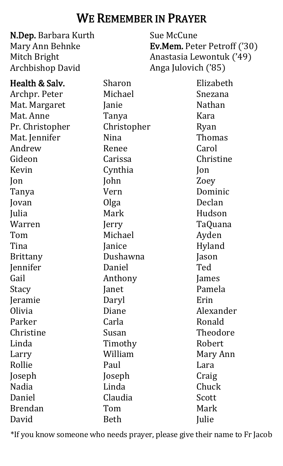### WE REMEMBER IN PRAYER

N.Dep. Barbara Kurth Mary Ann Behnke Mitch Bright Archbishop David Sue McCune Ev.Mem. Peter Petroff ('30) Anastasia Lewontuk ('49) Anga Julovich ('85) Health & Salv. Archpr. Peter Mat. Margaret Mat. Anne Pr. Christopher Mat. Jennifer Andrew Gideon Kevin Jon Tanya Jovan Julia Warren Tom Tina Brittany Jennifer Gail Stacy Jeramie Olivia Parker Christine Linda Larry Rollie Joseph Nadia Daniel Brendan David Sharon Michael Janie Tanya Christopher Nina Renee Carissa Cynthia John Vern Olga Mark Jerry Michael Janice Dushawna Daniel Anthony Janet Daryl Diane Carla Susan Timothy William Paul Joseph Linda Claudia Tom Beth Elizabeth Snezana Nathan Kara Ryan Thomas Carol Christine Jon Zoey Dominic Declan Hudson TaQuana Ayden Hyland Jason Ted James Pamela Erin Alexander Ronald Theodore Robert Mary Ann Lara Craig Chuck **Scott** Mark **Julie** 

\*If you know someone who needs prayer, please give their name to Fr Jacob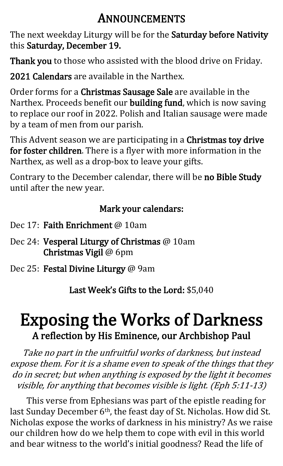## ANNOUNCEMENTS

The next weekday Liturgy will be for the Saturday before Nativity this Saturday, December 19.

Thank you to those who assisted with the blood drive on Friday.

2021 Calendars are available in the Narthex.

Order forms for a Christmas Sausage Sale are available in the Narthex. Proceeds benefit our building fund, which is now saving to replace our roof in 2022. Polish and Italian sausage were made by a team of men from our parish.

This Advent season we are participating in a Christmas toy drive for foster children. There is a flyer with more information in the Narthex, as well as a drop-box to leave your gifts.

Contrary to the December calendar, there will be no Bible Study until after the new year.

#### Mark your calendars:

- Dec 17: Faith Enrichment @ 10am
- Dec 24: Vesperal Liturgy of Christmas @ 10am Christmas Vigil @ 6pm
- Dec 25: Festal Divine Liturgy @ 9am

Last Week's Gifts to the Lord: \$5,040

# Exposing the Works of Darkness A reflection by His Eminence, our Archbishop Paul

Take no part in the unfruitful works of darkness, but instead expose them. For it is a shame even to speak of the things that they do in secret; but when anything is exposed by the light it becomes visible, for anything that becomes visible is light. (Eph 5:11-13)

This verse from Ephesians was part of the epistle reading for last Sunday December 6<sup>th</sup>, the feast day of St. Nicholas. How did St. Nicholas expose the works of darkness in his ministry? As we raise our children how do we help them to cope with evil in this world and bear witness to the world's initial goodness? Read the life of